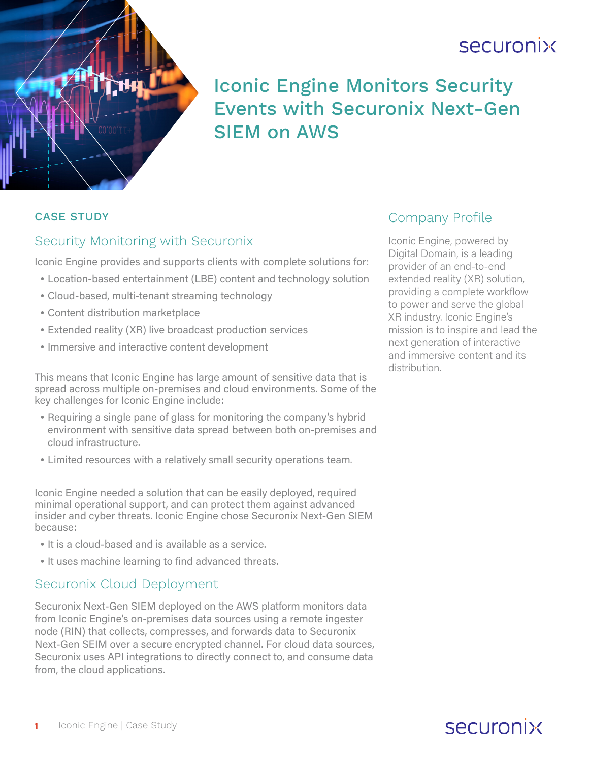# securonix



## Iconic Engine Monitors Security Events with Securonix Next-Gen SIEM on AWS

#### CASE STUDY

#### Security Monitoring with Securonix

Iconic Engine provides and supports clients with complete solutions for:

- •Location-based entertainment (LBE) content and technology solution
- •Cloud-based, multi-tenant streaming technology
- •Content distribution marketplace
- •Extended reality (XR) live broadcast production services
- •Immersive and interactive content development

This means that Iconic Engine has large amount of sensitive data that is spread across multiple on-premises and cloud environments. Some of the key challenges for Iconic Engine include:

- •Requiring a single pane of glass for monitoring the company's hybrid environment with sensitive data spread between both on-premises and cloud infrastructure.
- •Limited resources with a relatively small security operations team.

Iconic Engine needed a solution that can be easily deployed, required minimal operational support, and can protect them against advanced insider and cyber threats. Iconic Engine chose Securonix Next-Gen SIEM because:

- It is a cloud-based and is available as a service.
- •It uses machine learning to find advanced threats.

#### Securonix Cloud Deployment

Securonix Next-Gen SIEM deployed on the AWS platform monitors data from Iconic Engine's on-premises data sources using a remote ingester node (RIN) that collects, compresses, and forwards data to Securonix Next-Gen SEIM over a secure encrypted channel. For cloud data sources, Securonix uses API integrations to directly connect to, and consume data from, the cloud applications.

### Company Profile

Iconic Engine, powered by Digital Domain, is a leading provider of an end-to-end extended reality (XR) solution, providing a complete workflow to power and serve the global XR industry. Iconic Engine's mission is to inspire and lead the next generation of interactive and immersive content and its distribution.

## securonix